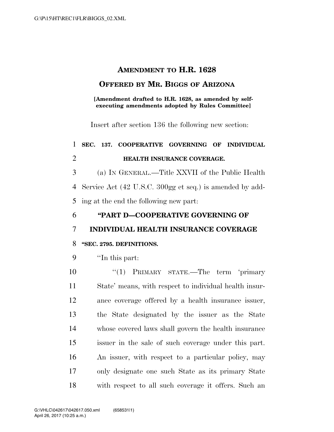### **AMENDMENT TO H.R. 1628**

### **OFFERED BY MR. BIGGS OF ARIZONA**

#### **[Amendment drafted to H.R. 1628, as amended by selfexecuting amendments adopted by Rules Committee]**

Insert after section 136 the following new section:

## **SEC. 137. COOPERATIVE GOVERNING OF INDIVIDUAL HEALTH INSURANCE COVERAGE.**

 (a) IN GENERAL.—Title XXVII of the Public Health Service Act (42 U.S.C. 300gg et seq.) is amended by add-ing at the end the following new part:

#### **''PART D—COOPERATIVE GOVERNING OF**

#### **INDIVIDUAL HEALTH INSURANCE COVERAGE**

#### **''SEC. 2795. DEFINITIONS.**

''In this part:

10 '(1) PRIMARY STATE.—The term 'primary State' means, with respect to individual health insur- ance coverage offered by a health insurance issuer, the State designated by the issuer as the State whose covered laws shall govern the health insurance issuer in the sale of such coverage under this part. An issuer, with respect to a particular policy, may only designate one such State as its primary State with respect to all such coverage it offers. Such an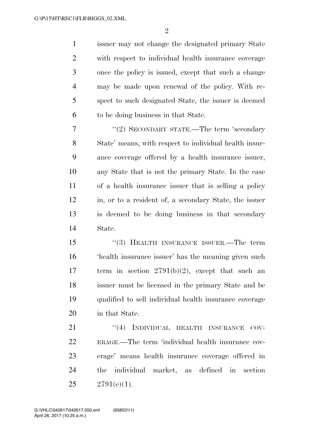$\mathfrak{D}$ 

 issuer may not change the designated primary State with respect to individual health insurance coverage once the policy is issued, except that such a change may be made upon renewal of the policy. With re- spect to such designated State, the issuer is deemed to be doing business in that State.

7 "(2) SECONDARY STATE.—The term 'secondary State' means, with respect to individual health insur- ance coverage offered by a health insurance issuer, any State that is not the primary State. In the case of a health insurance issuer that is selling a policy in, or to a resident of, a secondary State, the issuer is deemed to be doing business in that secondary State.

 ''(3) HEALTH INSURANCE ISSUER.—The term 'health insurance issuer' has the meaning given such 17 term in section  $2791(b)(2)$ , except that such an issuer must be licensed in the primary State and be qualified to sell individual health insurance coverage in that State.

21 "(4) INDIVIDUAL HEALTH INSURANCE COV- ERAGE.—The term 'individual health insurance cov- erage' means health insurance coverage offered in the individual market, as defined in section  $25 \qquad 2791(e)(1).$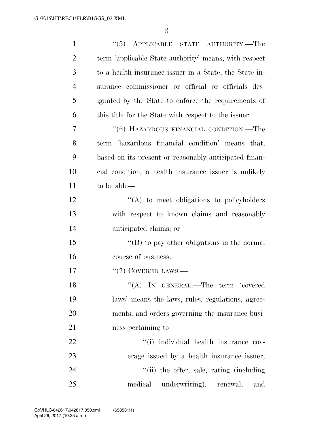| $\mathbf{1}$   | $(5)$ APPLICABLE STATE AUTHORITY.—The                  |
|----------------|--------------------------------------------------------|
| $\overline{2}$ | term 'applicable State authority' means, with respect  |
| 3              | to a health insurance issuer in a State, the State in- |
| $\overline{4}$ | surance commissioner or official or officials des-     |
| 5              | ignated by the State to enforce the requirements of    |
| 6              | this title for the State with respect to the issuer.   |
| 7              | "(6) HAZARDOUS FINANCIAL CONDITION.—The                |
| 8              | term 'hazardous financial condition' means that,       |
| 9              | based on its present or reasonably anticipated finan-  |
| 10             | cial condition, a health insurance issuer is unlikely  |
| 11             | to be able—                                            |
| 12             | $\lq\lq$ to meet obligations to policyholders          |
| 13             | with respect to known claims and reasonably            |
| 14             | anticipated claims; or                                 |
| 15             | "(B) to pay other obligations in the normal            |
| 16             | course of business.                                    |
| 17             | $``(7)$ COVERED LAWS.—                                 |
| 18             | "(A) IN GENERAL.—The term 'covered                     |
| 19             | laws' means the laws, rules, regulations, agree-       |
| 20             | ments, and orders governing the insurance busi-        |
| 21             | ness pertaining to-                                    |
| 22             | "(i) individual health insurance cov-                  |
| 23             | erage issued by a health insurance issuer;             |
| 24             | "(ii) the offer, sale, rating (including               |
| 25             | medical<br>underwriting), renewal,<br>and              |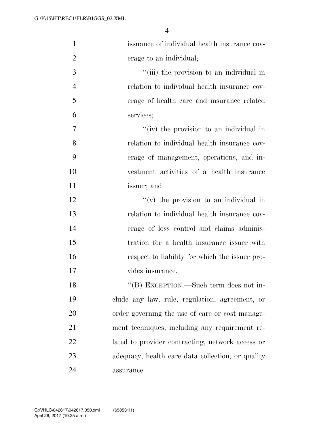| $\mathbf{1}$   | issuance of individual health insurance cov-      |
|----------------|---------------------------------------------------|
| $\overline{2}$ | erage to an individual;                           |
| 3              | "(iii) the provision to an individual in          |
| $\overline{4}$ | relation to individual health insurance cov-      |
| 5              | erage of health care and insurance related        |
| 6              | services;                                         |
| 7              | "(iv) the provision to an individual in           |
| 8              | relation to individual health insurance cov-      |
| 9              | erage of management, operations, and in-          |
| 10             | vestment activities of a health insurance         |
| 11             | issuer; and                                       |
| 12             | $f'(v)$ the provision to an individual in         |
| 13             | relation to individual health insurance cov-      |
| 14             | erage of loss control and claims adminis-         |
| 15             | tration for a health insurance issuer with        |
| 16             | respect to liability for which the issuer pro-    |
| 17             | vides insurance.                                  |
| 18             | "(B) EXCEPTION.—Such term does not in-            |
| 19             | clude any law, rule, regulation, agreement, or    |
| 20             | order governing the use of care or cost manage-   |
| 21             | ment techniques, including any requirement re-    |
| 22             | lated to provider contracting, network access or  |
| 23             | adequacy, health care data collection, or quality |
| 24             | assurance.                                        |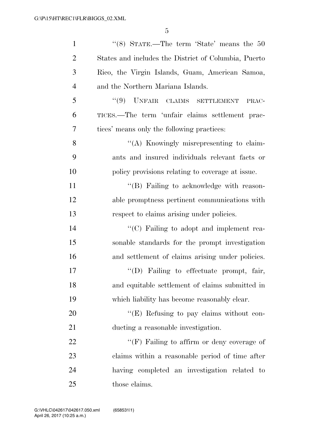| $\mathbf{1}$   | "(8) STATE.—The term 'State' means the $50$          |
|----------------|------------------------------------------------------|
| $\overline{2}$ | States and includes the District of Columbia, Puerto |
| 3              | Rico, the Virgin Islands, Guam, American Samoa,      |
| 4              | and the Northern Mariana Islands.                    |
| 5              | "(9) UNFAIR CLAIMS SETTLEMENT<br>PRAC-               |
| 6              | TICES.—The term 'unfair claims settlement prac-      |
| 7              | tices' means only the following practices:           |
| 8              | "(A) Knowingly misrepresenting to claim-             |
| 9              | ants and insured individuals relevant facts or       |
| 10             | policy provisions relating to coverage at issue.     |
| 11             | "(B) Failing to acknowledge with reason-             |
| 12             | able promptness pertinent communications with        |
| 13             | respect to claims arising under policies.            |
| 14             | "(C) Failing to adopt and implement rea-             |
| 15             | sonable standards for the prompt investigation       |
| 16             | and settlement of claims arising under policies.     |
| 17             | $\lq\lq$ . Failing to effectuate prompt, fair,       |
| 18             | and equitable settlement of claims submitted in      |
| 19             | which liability has become reasonably clear.         |
| 20             | "(E) Refusing to pay claims without con-             |
| 21             | ducting a reasonable investigation.                  |
| 22             | " $(F)$ Failing to affirm or deny coverage of        |
| 23             | claims within a reasonable period of time after      |
| 24             | having completed an investigation related to         |
| 25             | those claims.                                        |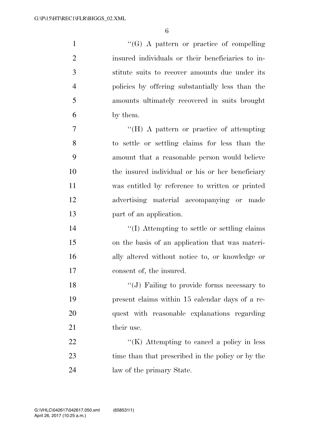''(G) A pattern or practice of compelling insured individuals or their beneficiaries to in- stitute suits to recover amounts due under its policies by offering substantially less than the amounts ultimately recovered in suits brought by them.

 ''(H) A pattern or practice of attempting to settle or settling claims for less than the amount that a reasonable person would believe the insured individual or his or her beneficiary was entitled by reference to written or printed advertising material accompanying or made part of an application.

 $\frac{1}{2}$  (I) Attempting to settle or settling claims on the basis of an application that was materi- ally altered without notice to, or knowledge or consent of, the insured.

18 "(J) Failing to provide forms necessary to present claims within 15 calendar days of a re- quest with reasonable explanations regarding 21 their use.

22  $\langle K \rangle$  Attempting to cancel a policy in less time than that prescribed in the policy or by the law of the primary State.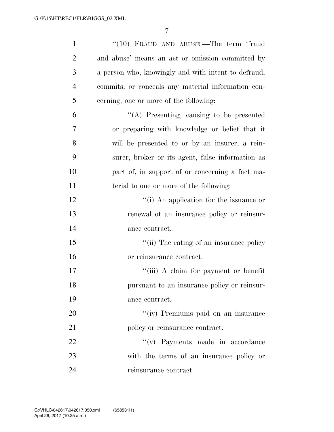| $\mathbf{1}$   | "(10) FRAUD AND ABUSE.—The term 'fraud              |
|----------------|-----------------------------------------------------|
| $\overline{2}$ | and abuse' means an act or omission committed by    |
| 3              | a person who, knowingly and with intent to defraud, |
| $\overline{4}$ | commits, or conceals any material information con-  |
| 5              | cerning, one or more of the following:              |
| 6              | "(A) Presenting, causing to be presented            |
| 7              | or preparing with knowledge or belief that it       |
| 8              | will be presented to or by an insurer, a rein-      |
| 9              | surer, broker or its agent, false information as    |
| 10             | part of, in support of or concerning a fact ma-     |
| 11             | terial to one or more of the following:             |
| 12             | "(i) An application for the issuance or             |
| 13             | renewal of an insurance policy or reinsur-          |
| 14             | ance contract.                                      |
| 15             | "(ii) The rating of an insurance policy             |
| 16             | or reinsurance contract.                            |
| 17             | "(iii) A claim for payment or benefit               |
| 18             | pursuant to an insurance policy or reinsur-         |
| 19             | ance contract.                                      |
| 20             | "(iv) Premiums paid on an insurance                 |
| 21             | policy or reinsurance contract.                     |
| 22             | "(v) Payments made in accordance                    |
| 23             | with the terms of an insurance policy or            |
| 24             | reinsurance contract.                               |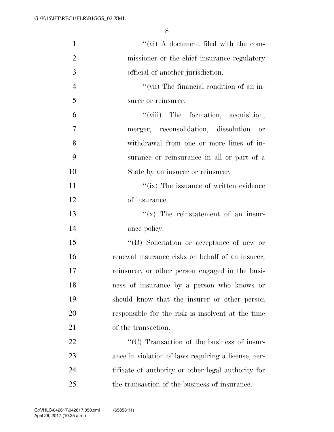| $\mathbf{1}$   | $\lq\lq$ (vi) A document filed with the com-                    |
|----------------|-----------------------------------------------------------------|
| $\overline{2}$ | missioner or the chief insurance regulatory                     |
| 3              | official of another jurisdiction.                               |
| $\overline{4}$ | "(vii) The financial condition of an in-                        |
| 5              | surer or reinsurer.                                             |
| 6              | "(viii) The formation, acquisition,                             |
| 7              | merger, reconsolidation, dissolution<br>or                      |
| 8              | withdrawal from one or more lines of in-                        |
| 9              | surance or reinsurance in all or part of a                      |
| 10             | State by an insurer or reinsurer.                               |
| 11             | "(ix) The issuance of written evidence                          |
| 12             | of insurance.                                                   |
| 13             | $f(x)$ The reinstatement of an insur-                           |
| 14             | ance policy.                                                    |
| 15             | "(B) Solicitation or acceptance of new or                       |
| 16             | renewal insurance risks on behalf of an insurer,                |
| 17             | reinsurer, or other person engaged in the busi-                 |
| 18             | ness of insurance by a person who knows or                      |
| 19             | should know that the insurer or other person                    |
| 20             | responsible for the risk is insolvent at the time               |
| 21             | of the transaction.                                             |
| 22             | $\lq\lq$ <sup>"</sup> (C) Transaction of the business of insur- |
| 23             | ance in violation of laws requiring a license, cer-             |
| 24             | tificate of authority or other legal authority for              |
| 25             | the transaction of the business of insurance.                   |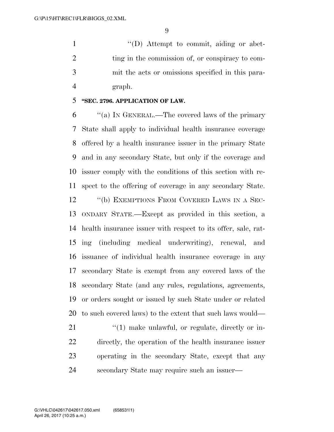1  $\text{``(D)}$  Attempt to commit, aiding or abet-2 ting in the commission of, or conspiracy to com- mit the acts or omissions specified in this para-graph.

#### **''SEC. 2796. APPLICATION OF LAW.**

 ''(a) IN GENERAL.—The covered laws of the primary State shall apply to individual health insurance coverage offered by a health insurance issuer in the primary State and in any secondary State, but only if the coverage and issuer comply with the conditions of this section with re-spect to the offering of coverage in any secondary State.

12 "(b) EXEMPTIONS FROM COVERED LAWS IN A SEC- ONDARY STATE.—Except as provided in this section, a health insurance issuer with respect to its offer, sale, rat- ing (including medical underwriting), renewal, and issuance of individual health insurance coverage in any secondary State is exempt from any covered laws of the secondary State (and any rules, regulations, agreements, or orders sought or issued by such State under or related to such covered laws) to the extent that such laws would—

 $\frac{1}{2}$  (1) make unlawful, or regulate, directly or in- directly, the operation of the health insurance issuer operating in the secondary State, except that any secondary State may require such an issuer—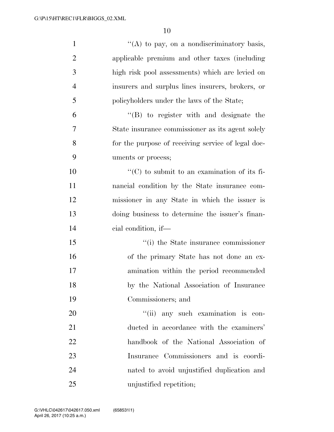| $\mathbf{1}$   | "(A) to pay, on a nondiscriminatory basis,          |
|----------------|-----------------------------------------------------|
| $\overline{2}$ | applicable premium and other taxes (including       |
| 3              | high risk pool assessments) which are levied on     |
| $\overline{4}$ | insurers and surplus lines insurers, brokers, or    |
| 5              | policyholders under the laws of the State;          |
| 6              | $\lq\lq(B)$ to register with and designate the      |
| $\overline{7}$ | State insurance commissioner as its agent solely    |
| 8              | for the purpose of receiving service of legal doc-  |
| 9              | uments or process;                                  |
| 10             | $\lq\lq$ (C) to submit to an examination of its fi- |
| 11             | nancial condition by the State insurance com-       |
| 12             | missioner in any State in which the issuer is       |
| 13             | doing business to determine the issuer's finan-     |
| 14             | cial condition, if—                                 |
| 15             | "(i) the State insurance commissioner               |
| 16             | of the primary State has not done an ex-            |
| 17             | amination within the period recommended             |
| 18             | by the National Association of Insurance            |
| 19             | Commissioners; and                                  |
| 20             | "(ii) any such examination is con-                  |
| 21             | ducted in accordance with the examiners'            |
| 22             | handbook of the National Association of             |
| 23             | Insurance Commissioners and is coordi-              |
| 24             | nated to avoid unjustified duplication and          |
| 25             | unjustified repetition;                             |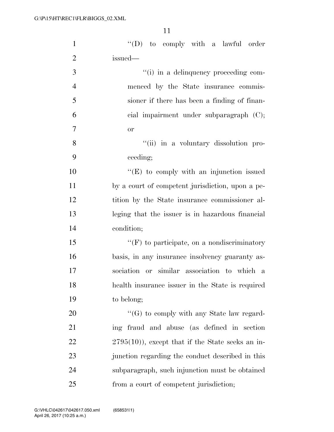| $\mathbf{1}$   | $\lq\lq$ to comply with a lawful order             |
|----------------|----------------------------------------------------|
| $\overline{2}$ | issued-                                            |
| 3              | "(i) in a delinquency proceeding com-              |
| $\overline{4}$ | menced by the State insurance commis-              |
| 5              | sioner if there has been a finding of finan-       |
| 6              | cial impairment under subparagraph $(C)$ ;         |
| $\tau$         | <b>or</b>                                          |
| 8              | "(ii) in a voluntary dissolution pro-              |
| 9              | ceeding;                                           |
| 10             | $\lq\lq(E)$ to comply with an injunction issued    |
| 11             | by a court of competent jurisdiction, upon a pe-   |
| 12             | tition by the State insurance commissioner al-     |
| 13             | leging that the issuer is in hazardous financial   |
| 14             | condition;                                         |
| 15             | $``(F)$ to participate, on a nondiscriminatory     |
| 16             | basis, in any insurance insolvency guaranty as-    |
| 17             | sociation or similar association to which a        |
| 18             | health insurance issuer in the State is required   |
| 19             | to belong;                                         |
| 20             | $\lq\lq(G)$ to comply with any State law regard-   |
| 21             | ing fraud and abuse (as defined in section         |
| 22             | $2795(10)$ , except that if the State seeks an in- |
| 23             | junction regarding the conduct described in this   |
| 24             | subparagraph, such injunction must be obtained     |
| 25             | from a court of competent jurisdiction;            |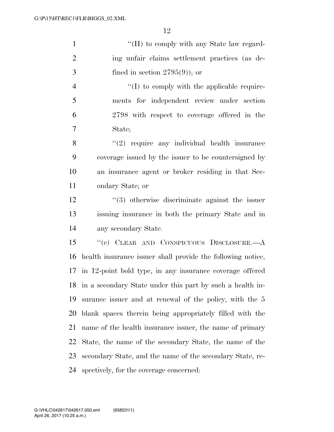''(H) to comply with any State law regard-2 ing unfair claims settlement practices (as de- $3 \qquad \text{fined in section } 2795(9)$ ; or 4  $\langle (I) \rangle$  to comply with the applicable require-ments for independent review under section

2798 with respect to coverage offered in the

State;

8 "(2) require any individual health insurance coverage issued by the issuer to be countersigned by an insurance agent or broker residing in that Sec-ondary State; or

 ''(3) otherwise discriminate against the issuer issuing insurance in both the primary State and in any secondary State.

 ''(c) CLEAR AND CONSPICUOUS DISCLOSURE.—A health insurance issuer shall provide the following notice, in 12-point bold type, in any insurance coverage offered in a secondary State under this part by such a health in- surance issuer and at renewal of the policy, with the 5 blank spaces therein being appropriately filled with the name of the health insurance issuer, the name of primary State, the name of the secondary State, the name of the secondary State, and the name of the secondary State, re-spectively, for the coverage concerned: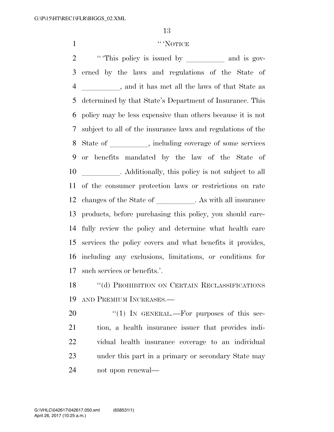#### 1 '' 'NOTICE

2 ""This policy is issued by \_\_\_\_\_\_\_\_\_\_ and is gov- erned by the laws and regulations of the State of 4 all the laws of that State as determined by that State's Department of Insurance. This policy may be less expensive than others because it is not subject to all of the insurance laws and regulations of the 8 State of , including coverage of some services or benefits mandated by the law of the State of **and Additionally**, this policy is not subject to all of the consumer protection laws or restrictions on rate 12 changes of the State of leads . As with all insurance products, before purchasing this policy, you should care- fully review the policy and determine what health care services the policy covers and what benefits it provides, including any exclusions, limitations, or conditions for such services or benefits.'.

18 "(d) PROHIBITION ON CERTAIN RECLASSIFICATIONS AND PREMIUM INCREASES.—

 "(1) In GENERAL.—For purposes of this sec- tion, a health insurance issuer that provides indi- vidual health insurance coverage to an individual under this part in a primary or secondary State may not upon renewal—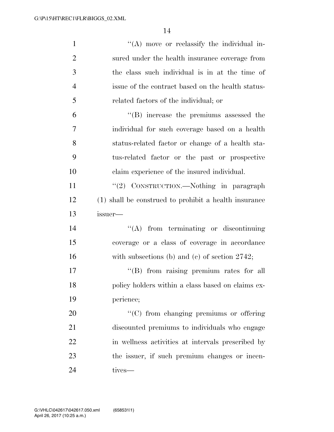| $\mathbf{1}$   | $\lq\lq$ move or reclassify the individual in-        |
|----------------|-------------------------------------------------------|
| $\overline{2}$ | sured under the health insurance coverage from        |
| 3              | the class such individual is in at the time of        |
| $\overline{4}$ | issue of the contract based on the health status-     |
| 5              | related factors of the individual; or                 |
| 6              | $\lq\lq$ increase the premiums assessed the           |
| 7              | individual for such coverage based on a health        |
| 8              | status-related factor or change of a health sta-      |
| 9              | tus-related factor or the past or prospective         |
| 10             | claim experience of the insured individual.           |
| 11             | "(2) CONSTRUCTION.—Nothing in paragraph               |
| 12             | (1) shall be construed to prohibit a health insurance |
|                |                                                       |
| 13             | issuer—                                               |
| 14             | "(A) from terminating or discontinuing                |
| 15             | coverage or a class of coverage in accordance         |
| 16             | with subsections (b) and (c) of section $2742$ ;      |
| 17             | "(B) from raising premium rates for all               |
| 18             | policy holders within a class based on claims ex-     |
| 19             | perience;                                             |
| 20             | "(C) from changing premiums or offering               |
| 21             | discounted premiums to individuals who engage         |
| 22             | in wellness activities at intervals prescribed by     |
| 23             | the issuer, if such premium changes or incen-         |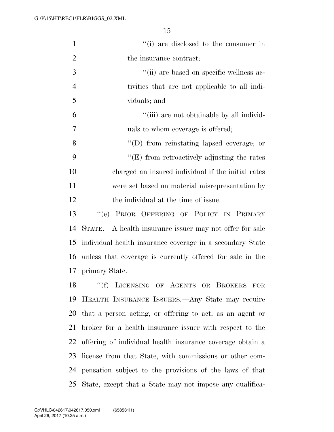| $\mathbf{1}$   | "(i) are disclosed to the consumer in                        |
|----------------|--------------------------------------------------------------|
| 2              | the insurance contract;                                      |
| 3              | "(ii) are based on specific wellness ac-                     |
| $\overline{4}$ | tivities that are not applicable to all indi-                |
| 5              | viduals; and                                                 |
| 6              | "(iii) are not obtainable by all individ-                    |
| 7              | uals to whom coverage is offered;                            |
| 8              | "(D) from reinstating lapsed coverage; or                    |
| 9              | $\lq\lq(E)$ from retroactively adjusting the rates           |
| 10             | charged an insured individual if the initial rates           |
| 11             | were set based on material misrepresentation by              |
| 12             | the individual at the time of issue.                         |
| 13             | PRIOR OFFERING OF POLICY IN PRIMARY<br>``(e)                 |
| 14             | STATE.—A health insurance issuer may not offer for sale      |
| 15             | individual health insurance coverage in a secondary State    |
| 16             | unless that coverage is currently offered for sale in the    |
| 17             | primary State.                                               |
| 18             | "(f) LICENSING OF AGENTS OR BROKERS FOR                      |
| 19             | HEALTH INSURANCE ISSUERS.—Any State may require              |
|                | 20 that a person acting, or offering to act, as an agent or  |
| 21             | broker for a health insurance issuer with respect to the     |
|                | 22 offering of individual health insurance coverage obtain a |
| 23             | license from that State, with commissions or other com-      |
|                | 24 pensation subject to the provisions of the laws of that   |
| 25             | State, except that a State may not impose any qualifica-     |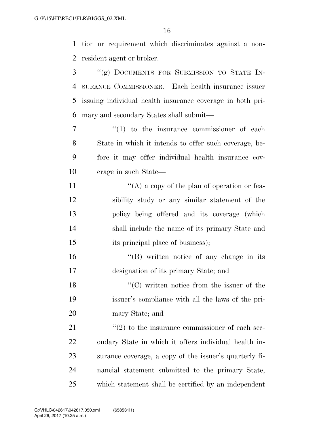tion or requirement which discriminates against a non-resident agent or broker.

 ''(g) DOCUMENTS FOR SUBMISSION TO STATE IN- SURANCE COMMISSIONER.—Each health insurance issuer issuing individual health insurance coverage in both pri- mary and secondary States shall submit—  $\frac{1}{1}$  to the insurance commissioner of each

 State in which it intends to offer such coverage, be- fore it may offer individual health insurance cov-erage in such State—

 $\langle (A)$  a copy of the plan of operation or fea- sibility study or any similar statement of the policy being offered and its coverage (which shall include the name of its primary State and 15 its principal place of business);

16 "(B) written notice of any change in its designation of its primary State; and

18 ''(C) written notice from the issuer of the issuer's compliance with all the laws of the pri-mary State; and

 ''(2) to the insurance commissioner of each sec- ondary State in which it offers individual health in- surance coverage, a copy of the issuer's quarterly fi- nancial statement submitted to the primary State, which statement shall be certified by an independent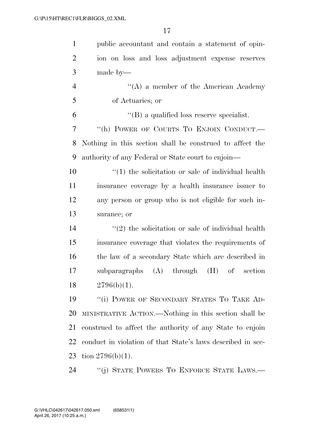| $\mathbf{1}$   | public accountant and contain a statement of opin-            |
|----------------|---------------------------------------------------------------|
| $\overline{2}$ | ion on loss and loss adjustment expense reserves              |
| 3              | made by—                                                      |
| $\overline{4}$ | $\lq\lq$ a member of the American Academy                     |
| 5              | of Actuaries; or                                              |
| 6              | $\lq\lq$ a qualified loss reserve specialist.                 |
| 7              | "(h) POWER OF COURTS TO ENJOIN CONDUCT.—                      |
| 8              | Nothing in this section shall be construed to affect the      |
| 9              | authority of any Federal or State court to enjoin—            |
| 10             | $"(1)$ the solicitation or sale of individual health          |
| 11             | insurance coverage by a health insurance issuer to            |
| 12             | any person or group who is not eligible for such in-          |
| 13             | surance; or                                                   |
| 14             | $\cdot\cdot(2)$ the solicitation or sale of individual health |
| 15             | insurance coverage that violates the requirements of          |
| 16             | the law of a secondary State which are described in           |
| 17             | subparagraphs (A) through<br>(H)<br>of section                |
| 18             | $2796(b)(1)$ .                                                |
| 19             | "(i) POWER OF SECONDARY STATES TO TAKE AD-                    |
| 20             | MINISTRATIVE ACTION.—Nothing in this section shall be         |
| 21             | construed to affect the authority of any State to enjoin      |
| 22             | conduct in violation of that State's laws described in sec-   |
| 23             | tion $2796(b)(1)$ .                                           |
| 24             | "(j) STATE POWERS TO ENFORCE STATE LAWS.—                     |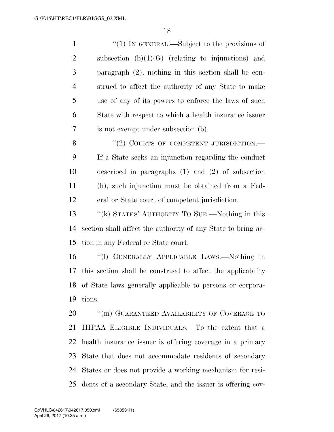| $\mathbf{1}$   | $\lq(1)$ In GENERAL.—Subject to the provisions of            |
|----------------|--------------------------------------------------------------|
| $\overline{2}$ | subsection $(b)(1)(G)$ (relating to injunctions) and         |
| 3              | paragraph $(2)$ , nothing in this section shall be con-      |
| $\overline{4}$ | strued to affect the authority of any State to make          |
| 5              | use of any of its powers to enforce the laws of such         |
| 6              | State with respect to which a health insurance issuer        |
| 7              | is not exempt under subsection (b).                          |
| 8              | "(2) COURTS OF COMPETENT JURISDICTION.—                      |
| 9              | If a State seeks an injunction regarding the conduct         |
| 10             | described in paragraphs $(1)$ and $(2)$ of subsection        |
| 11             | (h), such injunction must be obtained from a Fed-            |
| 12             | eral or State court of competent jurisdiction.               |
| 13             | "(k) STATES' AUTHORITY TO SUE.—Nothing in this               |
| 14             | section shall affect the authority of any State to bring ac- |
| 15             | tion in any Federal or State court.                          |
| 16             | "(1) GENERALLY APPLICABLE LAWS.—Nothing in                   |
| 17             | this section shall be construed to affect the applicability  |
| 18             | of State laws generally applicable to persons or corpora-    |
| 19             | tions.                                                       |
| 20             | "(m) GUARANTEED AVAILABILITY OF COVERAGE TO                  |
| 21             | HIPAA ELIGIBLE INDIVIDUALS.—To the extent that a             |
| 22             | health insurance issuer is offering coverage in a primary    |
| 23             | State that does not accommodate residents of secondary       |
| 24             | States or does not provide a working mechanism for resi-     |
| 25             | dents of a secondary State, and the issuer is offering cov-  |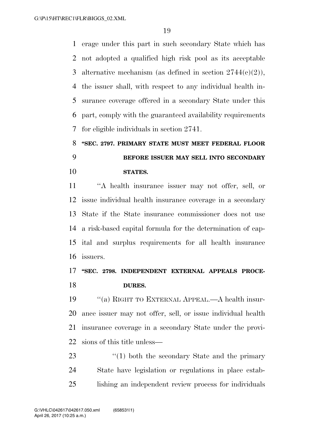erage under this part in such secondary State which has not adopted a qualified high risk pool as its acceptable 3 alternative mechanism (as defined in section  $2744(c)(2)$ ), the issuer shall, with respect to any individual health in- surance coverage offered in a secondary State under this part, comply with the guaranteed availability requirements for eligible individuals in section 2741.

# **''SEC. 2797. PRIMARY STATE MUST MEET FEDERAL FLOOR BEFORE ISSUER MAY SELL INTO SECONDARY STATES.**

 ''A health insurance issuer may not offer, sell, or issue individual health insurance coverage in a secondary State if the State insurance commissioner does not use a risk-based capital formula for the determination of cap- ital and surplus requirements for all health insurance issuers.

### **''SEC. 2798. INDEPENDENT EXTERNAL APPEALS PROCE-DURES.**

 ''(a) RIGHT TO EXTERNAL APPEAL.—A health insur- ance issuer may not offer, sell, or issue individual health insurance coverage in a secondary State under the provi-sions of this title unless—

23 ''(1) both the secondary State and the primary State have legislation or regulations in place estab-lishing an independent review process for individuals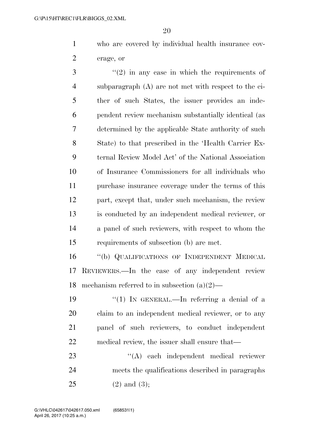who are covered by individual health insurance cov-erage, or

 ''(2) in any case in which the requirements of subparagraph (A) are not met with respect to the ei- ther of such States, the issuer provides an inde- pendent review mechanism substantially identical (as determined by the applicable State authority of such State) to that prescribed in the 'Health Carrier Ex- ternal Review Model Act' of the National Association of Insurance Commissioners for all individuals who purchase insurance coverage under the terms of this part, except that, under such mechanism, the review is conducted by an independent medical reviewer, or a panel of such reviewers, with respect to whom the requirements of subsection (b) are met.

 ''(b) QUALIFICATIONS OF INDEPENDENT MEDICAL REVIEWERS.—In the case of any independent review 18 mechanism referred to in subsection  $(a)(2)$ —

 $\frac{1}{2}$  (1) In GENERAL.—In referring a denial of a claim to an independent medical reviewer, or to any panel of such reviewers, to conduct independent medical review, the issuer shall ensure that—

23 ''(A) each independent medical reviewer meets the qualifications described in paragraphs (2) and (3);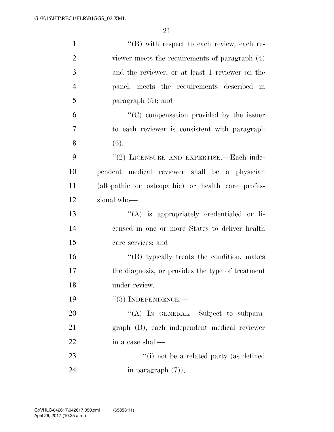| $\mathbf{1}$   | $\lq\lq (B)$ with respect to each review, each re- |
|----------------|----------------------------------------------------|
| $\overline{2}$ | viewer meets the requirements of paragraph (4)     |
| 3              | and the reviewer, or at least 1 reviewer on the    |
| $\overline{4}$ | panel, meets the requirements described in         |
| 5              | paragraph $(5)$ ; and                              |
| 6              | "(C) compensation provided by the issuer           |
| 7              | to each reviewer is consistent with paragraph      |
| 8              | (6).                                               |
| 9              | "(2) LICENSURE AND EXPERTISE.—Each inde-           |
| 10             | pendent medical reviewer shall be a physician      |
| 11             | (allopathic or osteopathic) or health care profes- |
| 12             | sional who-                                        |
| 13             | $\lq\lq$ is appropriately credentialed or li-      |
| 14             | censed in one or more States to deliver health     |
| 15             | care services; and                                 |
| 16             | "(B) typically treats the condition, makes         |
| 17             | the diagnosis, or provides the type of treatment   |
| 18             | under review.                                      |
| 19             | $``(3)$ INDEPENDENCE.—                             |
| 20             | "(A) IN GENERAL.—Subject to subpara-               |
| 21             | graph (B), each independent medical reviewer       |
| 22             | in a case shall-                                   |
| 23             | "(i) not be a related party (as defined            |
| 24             | in paragraph $(7)$ );                              |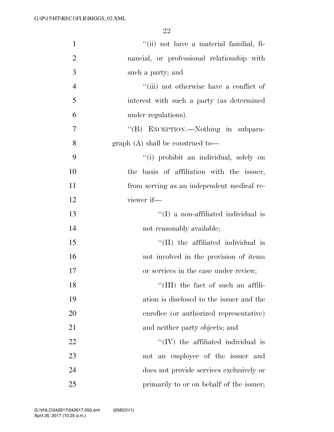| $\mathbf{1}$   | "(ii) not have a material familial, fi-    |
|----------------|--------------------------------------------|
| $\overline{2}$ | nancial, or professional relationship with |
| 3              | such a party; and                          |
| $\overline{4}$ | "(iii) not otherwise have a conflict of    |
| 5              | interest with such a party (as determined  |
| 6              | under regulations).                        |
| 7              | "(B) EXCEPTION.—Nothing in subpara-        |
| 8              | graph $(A)$ shall be construed to-         |
| 9              | "(i) prohibit an individual, solely on     |
| 10             | the basis of affiliation with the issuer,  |
| 11             | from serving as an independent medical re- |
| 12             | viewer if-                                 |
| 13             | $\lq (I)$ a non-affiliated individual is   |
| 14             | not reasonably available;                  |
| 15             | "(II) the affiliated individual is         |
| 16             | not involved in the provision of items     |
| 17             | or services in the case under review;      |
| 18             | "(III) the fact of such an affili-         |
| 19             | ation is disclosed to the issuer and the   |
| 20             | enrollee (or authorized representative)    |
| 21             | and neither party objects; and             |
| 22             | $\lq\lq$ (IV) the affiliated individual is |
| 23             | not an employee of the issuer and          |
| 24             | does not provide services exclusively or   |
| 25             | primarily to or on behalf of the issuer;   |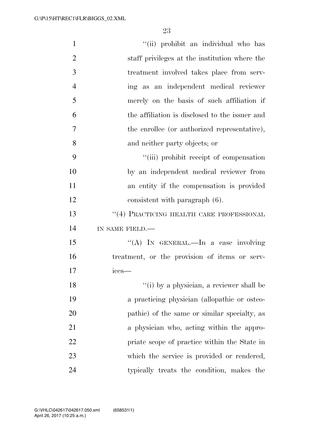| $\mathbf{1}$   | "(ii) prohibit an individual who has           |
|----------------|------------------------------------------------|
| $\overline{2}$ | staff privileges at the institution where the  |
| 3              | treatment involved takes place from serv-      |
| $\overline{4}$ | ing as an independent medical reviewer         |
| 5              | merely on the basis of such affiliation if     |
| 6              | the affiliation is disclosed to the issuer and |
| 7              | the enrollee (or authorized representative),   |
| 8              | and neither party objects; or                  |
| 9              | "(iii) prohibit receipt of compensation        |
| 10             | by an independent medical reviewer from        |
| 11             | an entity if the compensation is provided      |
| 12             | consistent with paragraph (6).                 |
| 13             | "(4) PRACTICING HEALTH CARE PROFESSIONAL       |
| 14             | IN SAME FIELD.-                                |
| 15             | "(A) IN GENERAL.—In a case involving           |
| 16             | treatment, or the provision of items or serv-  |
| 17             | ices—                                          |
| 18             | "(i) by a physician, a reviewer shall be       |
| 19             | a practicing physician (allopathic or osteo-   |
| 20             | pathic) of the same or similar specialty, as   |
| 21             | a physician who, acting within the appro-      |
| 22             | priate scope of practice within the State in   |
| 23             | which the service is provided or rendered,     |
| 24             | typically treats the condition, makes the      |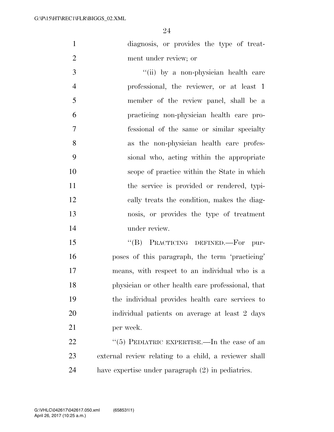diagnosis, or provides the type of treat-ment under review; or

3 ''(ii) by a non-physician health care professional, the reviewer, or at least 1 member of the review panel, shall be a practicing non-physician health care pro- fessional of the same or similar specialty as the non-physician health care profes- sional who, acting within the appropriate scope of practice within the State in which 11 the service is provided or rendered, typi- cally treats the condition, makes the diag- nosis, or provides the type of treatment under review.

15 "(B) PRACTICING DEFINED.—For pur- poses of this paragraph, the term 'practicing' means, with respect to an individual who is a physician or other health care professional, that the individual provides health care services to individual patients on average at least 2 days per week.

22  $(5)$  PEDIATRIC EXPERTISE.—In the case of an external review relating to a child, a reviewer shall have expertise under paragraph (2) in pediatrics.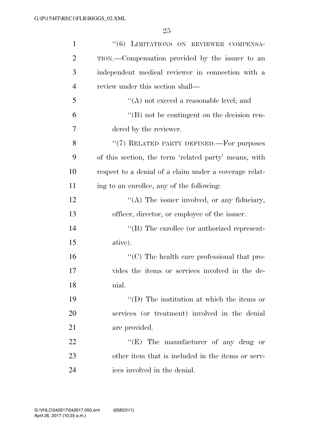| $\mathbf{1}$   | "(6) LIMITATIONS ON REVIEWER COMPENSA-                           |
|----------------|------------------------------------------------------------------|
| $\overline{2}$ | TION.—Compensation provided by the issuer to an                  |
| 3              | independent medical reviewer in connection with a                |
| $\overline{4}$ | review under this section shall—                                 |
| 5              | $\lq\lq$ not exceed a reasonable level; and                      |
| 6              | $\lq\lq (B)$ not be contingent on the decision ren-              |
| 7              | dered by the reviewer.                                           |
| 8              | "(7) RELATED PARTY DEFINED.—For purposes                         |
| 9              | of this section, the term 'related party' means, with            |
| 10             | respect to a denial of a claim under a coverage relat-           |
| 11             | ing to an enrollee, any of the following:                        |
| 12             | $\lq\lq$ . The issuer involved, or any fiduciary,                |
| 13             | officer, director, or employee of the issuer.                    |
| 14             | $\lq\lq$ (B) The enrollee (or authorized represent-              |
| 15             | ative).                                                          |
| 16             | $\lq\lq$ <sup>c</sup> (C) The health care professional that pro- |
| 17             | vides the items or services involved in the de-                  |
| 18             | nial.                                                            |
| 19             | "(D) The institution at which the items or                       |
| 20             | services (or treatment) involved in the denial                   |
| 21             | are provided.                                                    |
| 22             | " $(E)$ The manufacturer of any drug or                          |
| 23             | other item that is included in the items or serv-                |
| 24             | ices involved in the denial.                                     |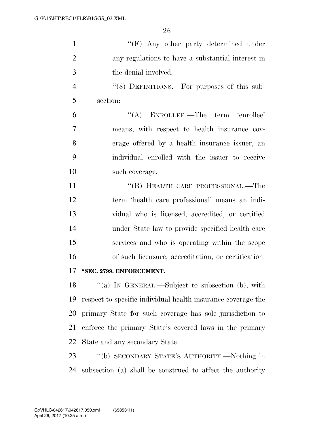| $\mathbf{1}$   | " $(F)$ Any other party determined under                     |
|----------------|--------------------------------------------------------------|
| $\overline{2}$ | any regulations to have a substantial interest in            |
| 3              | the denial involved.                                         |
| $\overline{4}$ | "(8) DEFINITIONS.—For purposes of this sub-                  |
| 5              | section:                                                     |
| 6              | $\lq\lq$ ENROLLEE.—The term 'enrollee'                       |
| 7              | means, with respect to health insurance cov-                 |
| 8              | erage offered by a health insurance issuer, an               |
| 9              | individual enrolled with the issuer to receive               |
| 10             | such coverage.                                               |
| 11             | "(B) HEALTH CARE PROFESSIONAL.—The                           |
| 12             | term 'health care professional' means an indi-               |
| 13             | vidual who is licensed, accredited, or certified             |
| 14             | under State law to provide specified health care             |
| 15             | services and who is operating within the scope               |
| 16             | of such licensure, accreditation, or certification.          |
| 17             | "SEC. 2799. ENFORCEMENT.                                     |
| 18             | "(a) IN GENERAL.—Subject to subsection (b), with             |
| 19             | respect to specific individual health insurance coverage the |
| 20             | primary State for such coverage has sole jurisdiction to     |
| 21             | enforce the primary State's covered laws in the primary      |
| 22             | State and any secondary State.                               |
| 23             | "(b) SECONDARY STATE'S AUTHORITY.—Nothing in                 |
| 24             | subsection (a) shall be construed to affect the authority    |
|                |                                                              |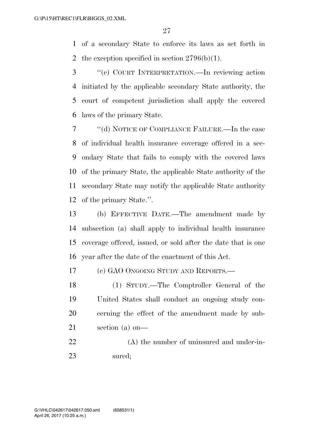of a secondary State to enforce its laws as set forth in 2 the exception specified in section  $2796(b)(1)$ .

 ''(c) COURT INTERPRETATION.—In reviewing action initiated by the applicable secondary State authority, the court of competent jurisdiction shall apply the covered laws of the primary State.

 ''(d) NOTICE OF COMPLIANCE FAILURE.—In the case of individual health insurance coverage offered in a sec- ondary State that fails to comply with the covered laws of the primary State, the applicable State authority of the secondary State may notify the applicable State authority of the primary State.''.

 (b) EFFECTIVE DATE.—The amendment made by subsection (a) shall apply to individual health insurance coverage offered, issued, or sold after the date that is one year after the date of the enactment of this Act.

(c) GAO ONGOING STUDY AND REPORTS.—

 (1) STUDY.—The Comptroller General of the United States shall conduct an ongoing study con- cerning the effect of the amendment made by sub-section (a) on—

 (A) the number of uninsured and under-in-sured;